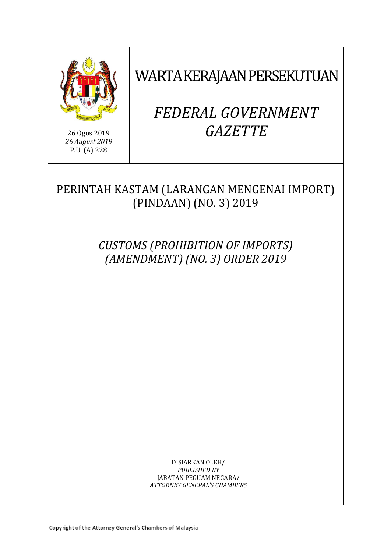

26 Ogos 2019 *26 August 2019* P.U. (A) 228

WARTA KERAJAAN PERSEKUTUAN

# *FEDERAL GOVERNMENT GAZETTE*

# PERINTAH KASTAM (LARANGAN MENGENAI IMPORT) (PINDAAN) (NO. 3) 2019

*CUSTOMS (PROHIBITION OF IMPORTS) (AMENDMENT) (NO. 3) ORDER 2019*

> DISIARKAN OLEH/ *PUBLISHED BY* JABATAN PEGUAM NEGARA/ *ATTORNEY GENERAL'S CHAMBERS*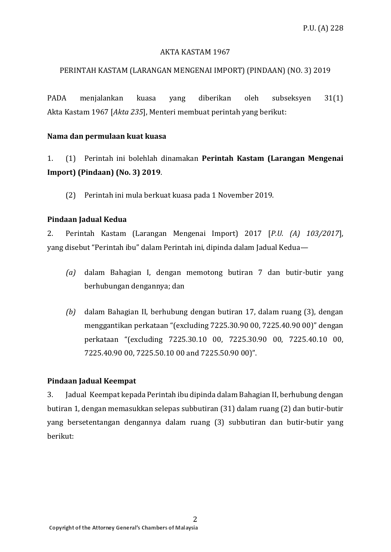#### AKTA KASTAM 1967

#### PERINTAH KASTAM (LARANGAN MENGENAI IMPORT) (PINDAAN) (NO. 3) 2019

PADA menjalankan kuasa yang diberikan oleh subseksyen 31(1) Akta Kastam 1967 [*Akta 235*], Menteri membuat perintah yang berikut:

#### **Nama dan permulaan kuat kuasa**

1. (1) Perintah ini bolehlah dinamakan **Perintah Kastam (Larangan Mengenai Import) (Pindaan) (No. 3) 2019**.

(2) Perintah ini mula berkuat kuasa pada 1 November 2019.

#### **Pindaan Jadual Kedua**

2. Perintah Kastam (Larangan Mengenai Import) 2017 [*P.U. (A) 103/2017*], yang disebut "Perintah ibu" dalam Perintah ini, dipinda dalam Jadual Kedua—

- *(a)* dalam Bahagian I, dengan memotong butiran 7 dan butir-butir yang berhubungan dengannya; dan
- *(b)* dalam Bahagian II, berhubung dengan butiran 17, dalam ruang (3), dengan menggantikan perkataan "(excluding 7225.30.90 00, 7225.40.90 00)" dengan perkataan "(excluding 7225.30.10 00, 7225.30.90 00, 7225.40.10 00, 7225.40.90 00, 7225.50.10 00 and 7225.50.90 00)".

#### **Pindaan Jadual Keempat**

3. Jadual Keempat kepada Perintah ibu dipinda dalam Bahagian II, berhubung dengan butiran 1, dengan memasukkan selepas subbutiran (31) dalam ruang (2) dan butir-butir yang bersetentangan dengannya dalam ruang (3) subbutiran dan butir-butir yang berikut: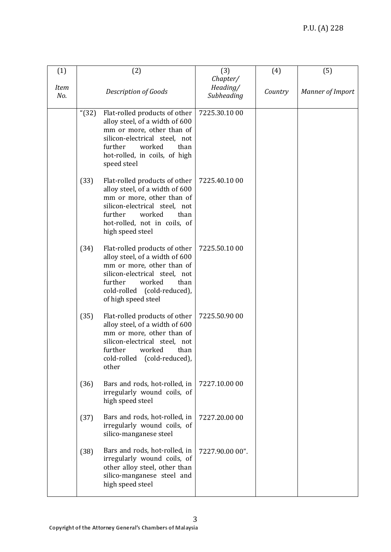| (1)                |                             | (2)                                                                                                                                                                                                              | (3)                                | (4)     | (5)                     |
|--------------------|-----------------------------|------------------------------------------------------------------------------------------------------------------------------------------------------------------------------------------------------------------|------------------------------------|---------|-------------------------|
| <b>Item</b><br>No. | <b>Description of Goods</b> |                                                                                                                                                                                                                  | Chapter/<br>Heading/<br>Subheading | Country | <b>Manner of Import</b> |
|                    | " $(32)$                    | Flat-rolled products of other<br>alloy steel, of a width of 600<br>mm or more, other than of<br>silicon-electrical steel, not<br>further<br>worked<br>than<br>hot-rolled, in coils, of high<br>speed steel       | 7225.30.10 00                      |         |                         |
|                    | (33)                        | Flat-rolled products of other<br>alloy steel, of a width of 600<br>mm or more, other than of<br>silicon-electrical steel, not<br>further<br>worked<br>than<br>hot-rolled, not in coils, of<br>high speed steel   | 7225.40.10 00                      |         |                         |
|                    | (34)                        | Flat-rolled products of other<br>alloy steel, of a width of 600<br>mm or more, other than of<br>silicon-electrical steel, not<br>further<br>worked<br>than<br>cold-rolled (cold-reduced),<br>of high speed steel | 7225.50.10 00                      |         |                         |
|                    | (35)                        | Flat-rolled products of other<br>alloy steel, of a width of 600<br>mm or more, other than of<br>silicon-electrical steel, not<br>further<br>worked<br>than<br>cold-rolled (cold-reduced),<br>other               | 7225.50.90 00                      |         |                         |
|                    | (36)                        | Bars and rods, hot-rolled, in<br>irregularly wound coils, of<br>high speed steel                                                                                                                                 | 7227.10.00 00                      |         |                         |
|                    | (37)                        | Bars and rods, hot-rolled, in<br>irregularly wound coils, of<br>silico-manganese steel                                                                                                                           | 7227.20.00 00                      |         |                         |
|                    | (38)                        | Bars and rods, hot-rolled, in<br>irregularly wound coils, of<br>other alloy steel, other than<br>silico-manganese steel and<br>high speed steel                                                                  | 7227.90.00 00".                    |         |                         |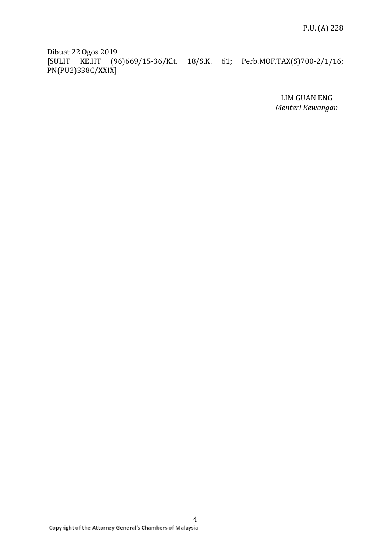Dibuat 22 Ogos 2019 [SULIT KE.HT (96)669/15-36/Klt. 18/S.K. 61; Perb.MOF.TAX(S)700-2/1/16; PN(PU2)338C/XXIX]

> LIM GUAN ENG *Menteri Kewangan*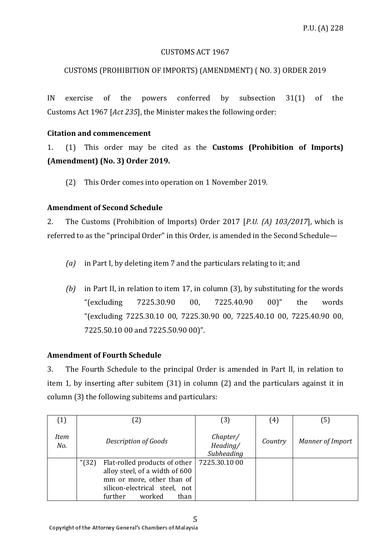#### CUSTOMS ACT 1967

# CUSTOMS (PROHIBITION OF IMPORTS) (AMENDMENT) ( NO. 3) ORDER 2019

IN exercise of the powers conferred by subsection 31(1) of the Customs Act 1967 [*Act 235*], the Minister makes the following order:

### **Citation and commencement**

1. (1) This order may be cited as the **Customs (Prohibition of Imports) (Amendment) (No. 3) Order 2019.**

(2) This Order comes into operation on 1 November 2019.

# **Amendment of Second Schedule**

2. The Customs (Prohibition of Imports) Order 2017 [*P.U. (A) 103/2017*], which is referred to as the "principal Order" in this Order, is amended in the Second Schedule—

- *(a)* in Part I, by deleting item 7 and the particulars relating to it; and
- *(b)* in Part II, in relation to item 17, in column (3), by substituting for the words "(excluding 7225.30.90 00, 7225.40.90 00)" the words "(excluding 7225.30.10 00, 7225.30.90 00, 7225.40.10 00, 7225.40.90 00, 7225.50.10 00 and 7225.50.90 00)".

# **Amendment of Fourth Schedule**

3. The Fourth Schedule to the principal Order is amended in Part II, in relation to item 1, by inserting after subitem (31) in column (2) and the particulars against it in column (3) the following subitems and particulars:

|             |          |                                                                                                                                                            | (3)                                | (4)     | (5)                     |
|-------------|----------|------------------------------------------------------------------------------------------------------------------------------------------------------------|------------------------------------|---------|-------------------------|
| Item<br>No. |          | Description of Goods                                                                                                                                       | Chapter/<br>Heading/<br>Subheading | Country | <b>Manner of Import</b> |
|             | " $(32)$ | Flat-rolled products of other<br>alloy steel, of a width of 600<br>mm or more, other than of<br>silicon-electrical steel, not<br>worked<br>further<br>than | 7225.30.10 00                      |         |                         |